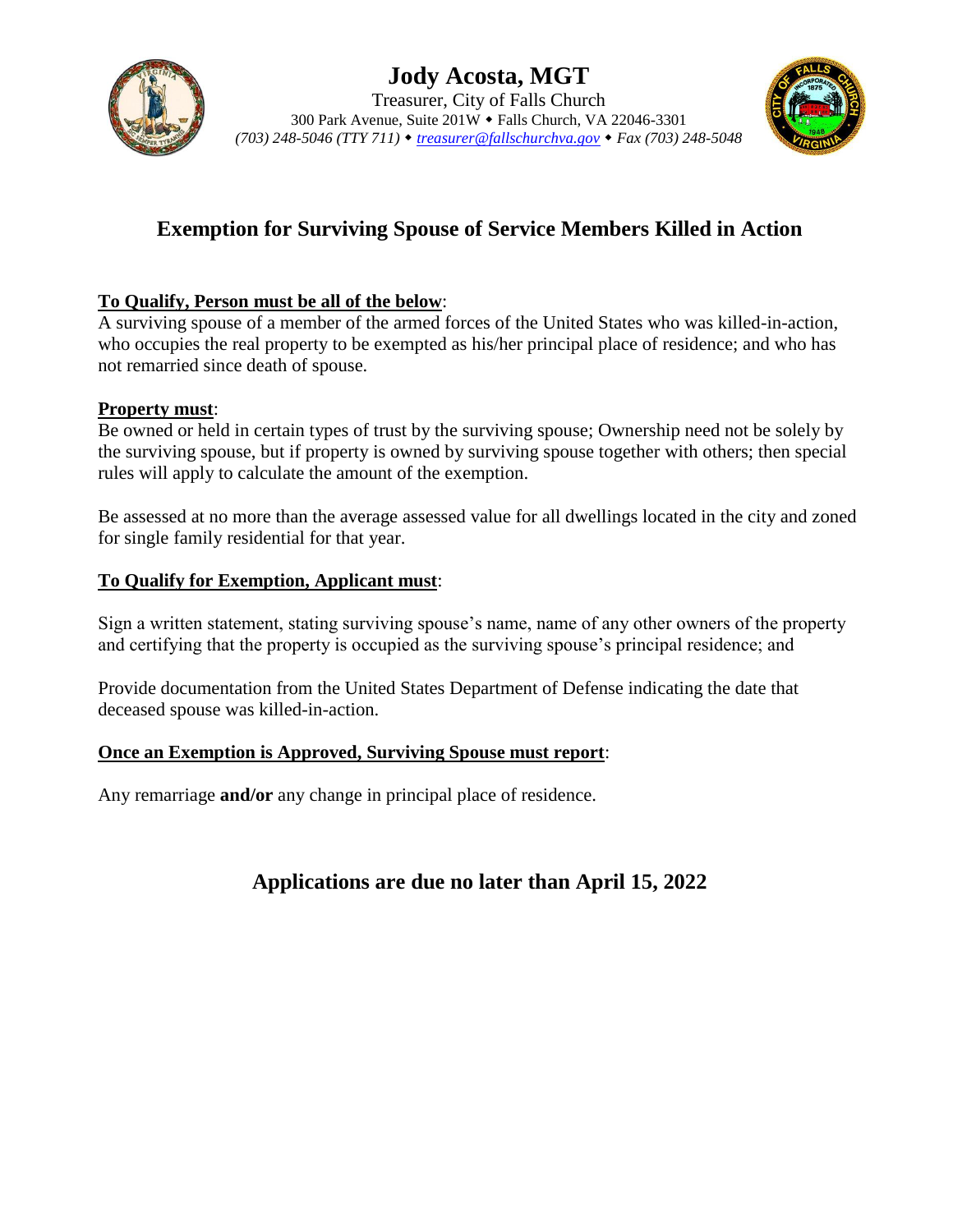



# **Exemption for Surviving Spouse of Service Members Killed in Action**

## **To Qualify, Person must be all of the below**:

A surviving spouse of a member of the armed forces of the United States who was killed-in-action, who occupies the real property to be exempted as his/her principal place of residence; and who has not remarried since death of spouse.

#### **Property must**:

Be owned or held in certain types of trust by the surviving spouse; Ownership need not be solely by the surviving spouse, but if property is owned by surviving spouse together with others; then special rules will apply to calculate the amount of the exemption.

Be assessed at no more than the average assessed value for all dwellings located in the city and zoned for single family residential for that year.

#### **To Qualify for Exemption, Applicant must**:

Sign a written statement, stating surviving spouse's name, name of any other owners of the property and certifying that the property is occupied as the surviving spouse's principal residence; and

Provide documentation from the United States Department of Defense indicating the date that deceased spouse was killed-in-action.

#### **Once an Exemption is Approved, Surviving Spouse must report**:

Any remarriage **and/or** any change in principal place of residence.

# **Applications are due no later than April 15, 2022**